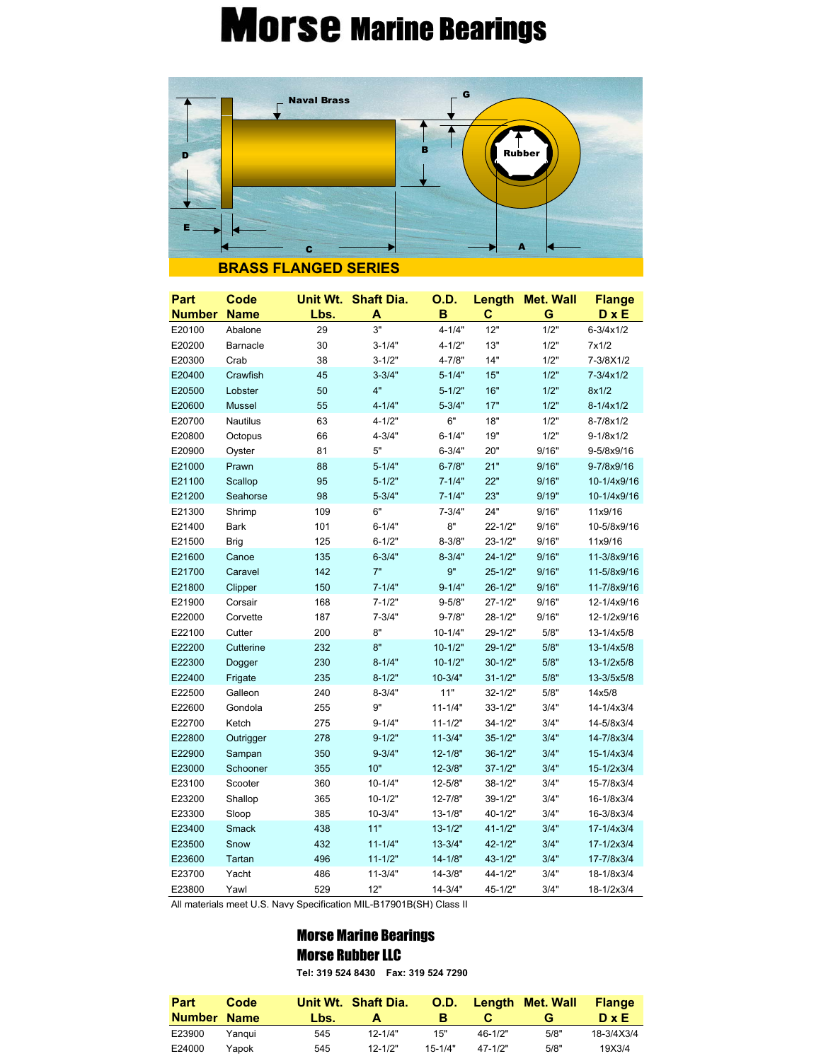## **Morse Marine Bearings**



| Part          | Code        |      | Unit Wt. Shaft Dia. | <b>O.D.</b> | Length      | <b>Met. Wall</b> | <b>Flange</b>        |
|---------------|-------------|------|---------------------|-------------|-------------|------------------|----------------------|
| <b>Number</b> | <b>Name</b> | Lbs. | A                   | B           | C           | G                | D x E                |
| E20100        | Abalone     | 29   | 3"                  | $4 - 1/4"$  | 12"         | 1/2"             | $6 - 3/4 \times 1/2$ |
| E20200        | Barnacle    | 30   | $3 - 1/4"$          | $4 - 1/2"$  | 13"         | 1/2"             | 7x1/2                |
| E20300        | Crab        | 38   | $3 - 1/2"$          | 4-7/8"      | 14"         | 1/2"             | 7-3/8X1/2            |
| E20400        | Crawfish    | 45   | $3 - 3/4"$          | $5 - 1/4"$  | 15"         | 1/2"             | 7-3/4x1/2            |
| E20500        | Lobster     | 50   | 4"                  | $5 - 1/2"$  | 16"         | 1/2"             | 8x1/2                |
| E20600        | Mussel      | 55   | $4 - 1/4"$          | $5 - 3/4"$  | 17"         | 1/2"             | $8 - 1/4 \times 1/2$ |
| E20700        | Nautilus    | 63   | $4 - 1/2"$          | 6"          | 18"         | 1/2"             | 8-7/8x1/2            |
| E20800        | Octopus     | 66   | $4 - 3/4"$          | $6 - 1/4"$  | 19"         | 1/2"             | 9-1/8x1/2            |
| E20900        | Oyster      | 81   | 5"                  | $6 - 3/4"$  | 20"         | 9/16"            | 9-5/8x9/16           |
| E21000        | Prawn       | 88   | $5 - 1/4"$          | $6 - 7/8"$  | 21"         | 9/16"            | 9-7/8x9/16           |
| E21100        | Scallop     | 95   | $5 - 1/2"$          | $7 - 1/4"$  | 22"         | 9/16"            | 10-1/4x9/16          |
| E21200        | Seahorse    | 98   | $5 - 3/4"$          | $7 - 1/4"$  | 23"         | 9/19"            | 10-1/4x9/16          |
| E21300        | Shrimp      | 109  | 6"                  | $7 - 3/4"$  | 24"         | 9/16"            | 11x9/16              |
| E21400        | <b>Bark</b> | 101  | $6 - 1/4"$          | 8"          | $22 - 1/2"$ | 9/16"            | 10-5/8x9/16          |
| E21500        | Brig        | 125  | $6 - 1/2"$          | $8 - 3/8"$  | $23 - 1/2"$ | 9/16"            | 11x9/16              |
| E21600        | Canoe       | 135  | $6 - 3/4"$          | $8 - 3/4"$  | $24 - 1/2"$ | 9/16"            | 11-3/8x9/16          |
| E21700        | Caravel     | 142  | 7"                  | 9"          | $25 - 1/2"$ | 9/16"            | 11-5/8x9/16          |
| E21800        | Clipper     | 150  | $7 - 1/4"$          | $9 - 1/4"$  | $26 - 1/2"$ | 9/16"            | 11-7/8x9/16          |
| E21900        | Corsair     | 168  | $7 - 1/2"$          | $9 - 5/8"$  | $27 - 1/2"$ | 9/16"            | 12-1/4x9/16          |
| E22000        | Corvette    | 187  | $7 - 3/4"$          | $9 - 7/8"$  | 28-1/2"     | 9/16"            | 12-1/2x9/16          |
| E22100        | Cutter      | 200  | 8"                  | $10 - 1/4"$ | 29-1/2"     | 5/8"             | 13-1/4x5/8           |
| E22200        | Cutterine   | 232  | 8"                  | $10 - 1/2"$ | 29-1/2"     | 5/8"             | 13-1/4x5/8           |
| E22300        | Dogger      | 230  | $8 - 1/4"$          | $10 - 1/2"$ | $30 - 1/2"$ | 5/8"             | 13-1/2x5/8           |
| E22400        | Frigate     | 235  | $8 - 1/2"$          | $10 - 3/4"$ | $31 - 1/2"$ | 5/8"             | 13-3/5x5/8           |
| E22500        | Galleon     | 240  | $8 - 3/4"$          | 11"         | $32 - 1/2"$ | 5/8"             | 14x5/8               |
| E22600        | Gondola     | 255  | 9"                  | $11 - 1/4"$ | $33 - 1/2"$ | 3/4"             | 14-1/4x3/4           |
| E22700        | Ketch       | 275  | $9 - 1/4"$          | $11 - 1/2"$ | $34 - 1/2"$ | 3/4"             | 14-5/8x3/4           |
| E22800        | Outrigger   | 278  | $9 - 1/2"$          | $11 - 3/4"$ | $35 - 1/2"$ | 3/4"             | 14-7/8x3/4           |
| E22900        | Sampan      | 350  | $9 - 3/4"$          | $12 - 1/8"$ | $36 - 1/2"$ | 3/4"             | 15-1/4x3/4           |
| E23000        | Schooner    | 355  | 10"                 | $12 - 3/8"$ | $37 - 1/2"$ | 3/4"             | 15-1/2x3/4           |
| E23100        | Scooter     | 360  | $10 - 1/4"$         | $12 - 5/8"$ | $38 - 1/2"$ | 3/4"             | 15-7/8x3/4           |
| E23200        | Shallop     | 365  | $10 - 1/2"$         | 12-7/8"     | 39-1/2"     | 3/4"             | 16-1/8x3/4           |
| E23300        | Sloop       | 385  | $10 - 3/4"$         | $13 - 1/8"$ | 40-1/2"     | 3/4"             | 16-3/8x3/4           |
| E23400        | Smack       | 438  | 11"                 | $13 - 1/2"$ | $41 - 1/2"$ | 3/4"             | 17-1/4x3/4           |
| E23500        | Snow        | 432  | $11 - 1/4"$         | $13 - 3/4"$ | 42-1/2"     | 3/4"             | 17-1/2x3/4           |
| E23600        | Tartan      | 496  | $11 - 1/2"$         | $14 - 1/8"$ | $43 - 1/2"$ | 3/4"             | 17-7/8x3/4           |
| E23700        | Yacht       | 486  | $11 - 3/4"$         | 14-3/8"     | 44-1/2"     | 3/4"             | 18-1/8x3/4           |
| E23800        | Yawl        | 529  | 12"                 | $14 - 3/4"$ | 45-1/2"     | 3/4"             | 18-1/2x3/4           |

All materials meet U.S. Navy Specification MIL-B17901B(SH) Class II

## Morse Marine Bearings Morse Rubber LLC

**Tel: 319 524 8430 Fax: 319 524 7290**

| Part        | Code   |      | Unit Wt. Shaft Dia. | <b>O.D.</b> |             | Length Met. Wall | <b>Flange</b> |
|-------------|--------|------|---------------------|-------------|-------------|------------------|---------------|
| Number Name |        | Lbs. | А                   | R           |             |                  | $D \times E$  |
| E23900      | Yangui | 545  | $12 - 1/4"$         | 15"         | $46 - 1/2"$ | 5/8"             | 18-3/4X3/4    |
| E24000      | Yapok  | 545  | $12 - 1/2"$         | $15 - 1/4"$ | $47 - 1/2"$ | 5/8"             | 19X3/4        |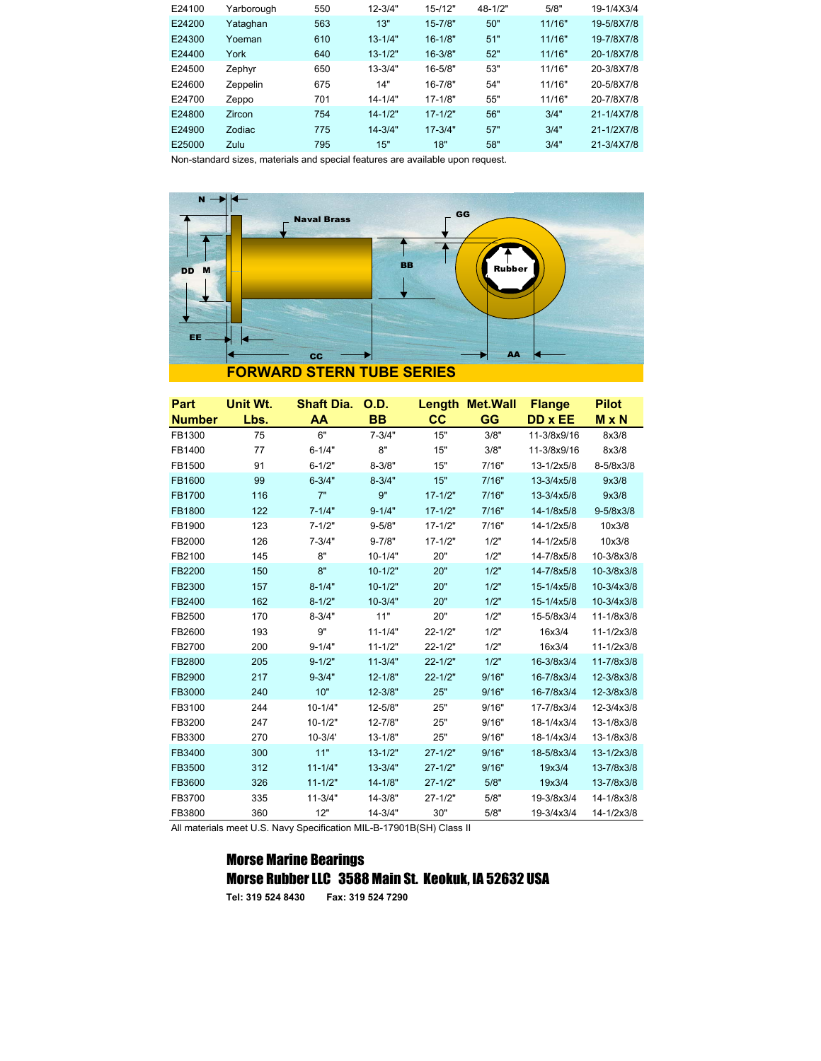| E24100 | Yarborough | 550 | $12 - 3/4"$ | $15 - 12"$  | $48 - 1/2"$ | 5/8"   | 19-1/4X3/4 |
|--------|------------|-----|-------------|-------------|-------------|--------|------------|
| E24200 | Yataqhan   | 563 | 13"         | $15 - 7/8"$ | 50"         | 11/16" | 19-5/8X7/8 |
| E24300 | Yoeman     | 610 | $13 - 1/4"$ | $16 - 1/8"$ | 51"         | 11/16" | 19-7/8X7/8 |
| E24400 | York       | 640 | $13 - 1/2"$ | $16 - 3/8"$ | 52"         | 11/16" | 20-1/8X7/8 |
| E24500 | Zephyr     | 650 | $13 - 3/4"$ | $16 - 5/8"$ | 53"         | 11/16" | 20-3/8X7/8 |
| E24600 | Zeppelin   | 675 | 14"         | $16 - 7/8"$ | 54"         | 11/16" | 20-5/8X7/8 |
| E24700 | Zeppo      | 701 | $14 - 1/4"$ | $17 - 1/8"$ | 55"         | 11/16" | 20-7/8X7/8 |
| E24800 | Zircon     | 754 | $14 - 1/2"$ | $17 - 1/2"$ | 56"         | 3/4"   | 21-1/4X7/8 |
| E24900 | Zodiac     | 775 | $14 - 3/4"$ | $17 - 3/4"$ | 57"         | 3/4"   | 21-1/2X7/8 |
| E25000 | Zulu       | 795 | 15"         | 18"         | 58"         | 3/4"   | 21-3/4X7/8 |

Non-standard sizes, materials and special features are available upon request.



| Part          | Unit Wt. | <b>Shaft Dia.</b> | O.D.        |             | <b>Length Met. Wall</b> | <b>Flange</b> | <b>Pilot</b>         |
|---------------|----------|-------------------|-------------|-------------|-------------------------|---------------|----------------------|
| <b>Number</b> | Lbs.     | AA                | <b>BB</b>   | cc          | GG                      | DD x EE       | M x N                |
| FB1300        | 75       | 6"                | $7 - 3/4"$  | 15"         | 3/8"                    | 11-3/8x9/16   | 8x3/8                |
| FB1400        | 77       | $6 - 1/4"$        | 8"          | 15"         | 3/8"                    | 11-3/8x9/16   | 8x3/8                |
| FB1500        | 91       | $6 - 1/2"$        | $8 - 3/8"$  | 15"         | 7/16"                   | 13-1/2x5/8    | 8-5/8x3/8            |
| FB1600        | 99       | $6 - 3/4"$        | $8 - 3/4"$  | 15"         | 7/16"                   | 13-3/4x5/8    | 9x3/8                |
| <b>FB1700</b> | 116      | 7"                | 9"          | $17 - 1/2"$ | 7/16"                   | 13-3/4x5/8    | 9x3/8                |
| FB1800        | 122      | $7 - 1/4"$        | $9 - 1/4"$  | $17 - 1/2"$ | 7/16"                   | 14-1/8x5/8    | $9 - 5/8 \times 3/8$ |
| FB1900        | 123      | $7 - 1/2"$        | $9 - 5/8"$  | $17 - 1/2"$ | 7/16"                   | 14-1/2x5/8    | 10x3/8               |
| FB2000        | 126      | $7 - 3/4"$        | $9 - 7/8"$  | $17 - 1/2"$ | 1/2"                    | 14-1/2x5/8    | 10x3/8               |
| FB2100        | 145      | 8"                | $10 - 1/4"$ | 20"         | 1/2"                    | 14-7/8x5/8    | 10-3/8x3/8           |
| FB2200        | 150      | 8"                | $10 - 1/2"$ | 20"         | 1/2"                    | 14-7/8x5/8    | 10-3/8x3/8           |
| FB2300        | 157      | $8 - 1/4"$        | $10 - 1/2"$ | 20"         | 1/2"                    | 15-1/4x5/8    | 10-3/4x3/8           |
| FB2400        | 162      | $8 - 1/2"$        | $10 - 3/4"$ | 20"         | 1/2"                    | 15-1/4x5/8    | 10-3/4x3/8           |
| FB2500        | 170      | $8 - 3/4"$        | 11"         | 20"         | 1/2"                    | 15-5/8x3/4    | 11-1/8x3/8           |
| FB2600        | 193      | 9"                | $11 - 1/4"$ | $22 - 1/2"$ | 1/2"                    | 16x3/4        | $11 - 1/2x3/8$       |
| FB2700        | 200      | $9 - 1/4"$        | $11 - 1/2"$ | $22 - 1/2"$ | 1/2"                    | 16x3/4        | $11 - 1/2x3/8$       |
| FB2800        | 205      | $9 - 1/2"$        | $11 - 3/4"$ | $22 - 1/2"$ | 1/2"                    | 16-3/8x3/4    | 11-7/8x3/8           |
| FB2900        | 217      | $9 - 3/4"$        | $12 - 1/8"$ | $22 - 1/2"$ | 9/16"                   | 16-7/8x3/4    | 12-3/8x3/8           |
| FB3000        | 240      | 10"               | $12 - 3/8"$ | 25"         | 9/16"                   | 16-7/8x3/4    | 12-3/8x3/8           |
| FB3100        | 244      | $10 - 1/4"$       | 12-5/8"     | 25"         | 9/16"                   | 17-7/8x3/4    | 12-3/4x3/8           |
| FB3200        | 247      | $10 - 1/2"$       | 12-7/8"     | 25"         | 9/16"                   | 18-1/4x3/4    | 13-1/8x3/8           |
| FB3300        | 270      | $10 - 3/4'$       | $13 - 1/8"$ | 25"         | 9/16"                   | 18-1/4x3/4    | 13-1/8x3/8           |
| FB3400        | 300      | 11"               | $13 - 1/2"$ | $27 - 1/2"$ | 9/16"                   | 18-5/8x3/4    | 13-1/2x3/8           |
| FB3500        | 312      | $11 - 1/4"$       | $13 - 3/4"$ | $27 - 1/2"$ | 9/16"                   | 19x3/4        | 13-7/8x3/8           |
| FB3600        | 326      | $11 - 1/2"$       | $14 - 1/8"$ | $27 - 1/2"$ | 5/8"                    | 19x3/4        | 13-7/8x3/8           |
| FB3700        | 335      | $11 - 3/4"$       | 14-3/8"     | $27 - 1/2"$ | 5/8"                    | 19-3/8x3/4    | 14-1/8x3/8           |
| FB3800        | 360      | 12"               | $14 - 3/4"$ | 30"         | 5/8"                    | 19-3/4x3/4    | 14-1/2x3/8           |

All materials meet U.S. Navy Specification MIL-B-17901B(SH) Class II

## Morse Marine Bearings Morse Rubber LLC 3588 Main St. Keokuk, IA 52632 USA

**Tel: 319 524 8430 Fax: 319 524 7290**